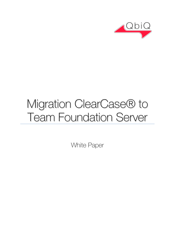

# Migration ClearCase® to Team Foundation Server

White Paper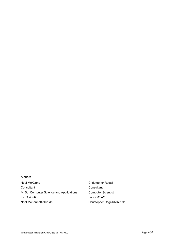#### Authors

Noel McKenna **Consultant** M. Sc. Computer Science and Applications Fa. QbiQ AG Noel.McKenna@qbiq.de

Christopher Rogall **Consultant** Computer Scientist Fa. QbiQ AG Christopher.Rogall@qbiq.de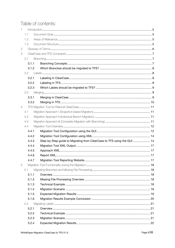# Table of contents:

| 1              |       |                                                                         |  |
|----------------|-------|-------------------------------------------------------------------------|--|
|                | 1.1   |                                                                         |  |
|                | 1.2   |                                                                         |  |
|                | 1.3   |                                                                         |  |
| $\mathbf{2}$   |       |                                                                         |  |
| 3              |       |                                                                         |  |
|                | 3.1   |                                                                         |  |
|                | 3.1.1 |                                                                         |  |
|                | 3.1.2 |                                                                         |  |
|                | 3.2   |                                                                         |  |
|                | 3.2.1 |                                                                         |  |
|                | 3.2.2 |                                                                         |  |
|                | 3.2.3 |                                                                         |  |
|                | 3.3   |                                                                         |  |
|                | 3.3.1 |                                                                         |  |
|                | 3.3.2 |                                                                         |  |
| $\overline{4}$ |       |                                                                         |  |
|                | 4.1   |                                                                         |  |
|                | 4.2   |                                                                         |  |
|                | 4.3   |                                                                         |  |
|                | 4.4   |                                                                         |  |
|                | 4.4.1 |                                                                         |  |
|                | 4.4.2 |                                                                         |  |
|                | 4.4.3 | Step-by-Step guide to Migrating from ClearCase to TFS using the GUI  14 |  |
|                | 4.4.4 |                                                                         |  |
|                | 4.4.5 |                                                                         |  |
|                | 4.4.6 |                                                                         |  |
|                | 4.4.7 |                                                                         |  |
| 5              |       |                                                                         |  |
|                | 5.1   |                                                                         |  |
|                | 5.1.1 |                                                                         |  |
|                | 5.1.2 |                                                                         |  |
|                | 5.1.3 |                                                                         |  |
|                | 5.1.4 |                                                                         |  |
|                | 5.1.5 |                                                                         |  |
|                | 5.1.6 |                                                                         |  |
|                | 5.2   |                                                                         |  |
|                | 5.2.1 |                                                                         |  |
|                | 5.2.2 |                                                                         |  |
|                | 5.2.3 |                                                                         |  |
|                | 5.2.4 |                                                                         |  |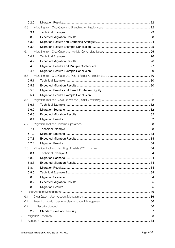|                | 5.2.5 |  |
|----------------|-------|--|
|                | 5.3   |  |
|                | 5.3.1 |  |
|                | 5.3.2 |  |
|                | 5.3.3 |  |
|                | 5.3.4 |  |
|                | 5.4   |  |
|                | 5.4.1 |  |
|                | 5.4.2 |  |
|                | 5.4.3 |  |
|                | 5.4.4 |  |
|                | 5.5   |  |
|                | 5.5.1 |  |
|                | 5.5.2 |  |
|                | 5.5.3 |  |
|                | 5.5.4 |  |
|                | 5.6   |  |
|                | 5.6.1 |  |
|                | 5.6.2 |  |
|                | 5.6.3 |  |
|                | 5.6.4 |  |
|                | 5.7   |  |
|                | 5.7.1 |  |
|                | 5.7.2 |  |
|                | 5.7.3 |  |
|                | 5.7.4 |  |
|                | 5.8   |  |
|                | 5.8.1 |  |
|                | 5.8.2 |  |
|                | 5.8.3 |  |
|                | 5.8.4 |  |
|                | 5.8.5 |  |
|                | 5.8.6 |  |
|                | 5.8.7 |  |
|                | 5.8.8 |  |
| 6              |       |  |
|                | 6.1   |  |
|                | 6.2   |  |
|                | 6.2.1 |  |
|                | 6.2.2 |  |
| $\overline{7}$ |       |  |
| 8              |       |  |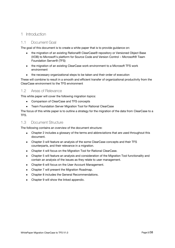## <span id="page-4-0"></span>1 Introduction

## <span id="page-4-1"></span>1.1 Document Goal

The goal of this document is to create a white paper that is to provide guidance on:

- the migration of an existing Rational® ClearCase® repository or Versioned Object Base (VOB) to Microsoft's platform for Source Code and Version Control – Microsoft® Team Foundation Server® (TFS)
- the migration of an existing ClearCase work environment to a Microsoft TFS work environment
- the necessary organizational steps to be taken and their order of execution  $\bullet$

These will combine to result in a smooth and efficient transfer of organizational productivity from the ClearCase environment to the TFS environment

## <span id="page-4-2"></span>1.2 Areas of Relevance

This white paper will cover the following migration topics:

- Comparison of ClearCase and TFS concepts
- Team Foundation Server Migration Tool for Rational ClearCase

The focus of this white paper is to outline a strategy for the migration of the data from ClearCase to a TFS.

#### <span id="page-4-3"></span>1.3 Document Structure

The following contains an overview of the document structure:

- $\bullet$ Chapter 2 includes a glossary of the terms and abbreviations that are used throughout this document.
- Chapter 3 will feature an analysis of the some ClearCase concepts and their TFS counterparts, and their relevance in a migration.
- Chapter 4 will focus on the Migration Tool for Rational ClearCase.
- Chapter 5 will feature an analysis and consideration of the Migration Tool functionality and contain an analysis of the issues as they relate to user management.
- Chapter 6 will focus on the User Account Management.  $\bullet$
- Chapter 7 will present the Migration Roadmap.  $\bullet$
- Chapter 8 includes the General Recommendations.
- Chapter 9 will show the linked appendix. $\bullet$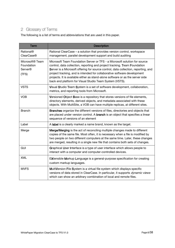# <span id="page-5-0"></span>2 Glossary of Terms

The following is a list of terms and abbreviations that are used in this paper.

<span id="page-5-1"></span>

| <b>Term</b>                                                          | <b>Description</b>                                                                                                                                                                                                                                                                                                                                                                                                                                                    |
|----------------------------------------------------------------------|-----------------------------------------------------------------------------------------------------------------------------------------------------------------------------------------------------------------------------------------------------------------------------------------------------------------------------------------------------------------------------------------------------------------------------------------------------------------------|
| <b>Rational®</b><br><b>ClearCase®</b>                                | Rational ClearCase - a solution that provides version control, workspace<br>management, parallel development support and build auditing                                                                                                                                                                                                                                                                                                                               |
| Microsoft <sup>®</sup> Team<br>Foundation<br><b>Server®</b><br>(TFS) | Microsoft Team Foundation Server or TFS - a Microsoft solution for source<br>control, data collection, reporting and project tracking. Team Foundation<br>Server is a Microsoft offering for source control, data collection, reporting, and<br>project tracking, and is intended for collaborative software development<br>projects. It is available either as stand-alone software or as the server side<br>back end platform for Visual Studio Team System (VSTS). |
| <b>VSTS</b>                                                          | Visual Studio Team System is a set of software development, collaboration,<br>metrics, and reporting tools from Microsoft.                                                                                                                                                                                                                                                                                                                                            |
| <b>VOB</b>                                                           | Versioned Object Base is a repository that stores versions of file elements,<br>directory elements, derived objects, and metadata associated with these<br>objects. With MultiSite, a VOB can have multiple replicas, at different sites.                                                                                                                                                                                                                             |
| <b>Branch</b>                                                        | Branches organize the different versions of files, directories and objects that<br>are placed under version control. A branch is an object that specifies a linear<br>sequence of versions of an element                                                                                                                                                                                                                                                              |
| Label                                                                | A label is a clearly marked a name brand, known as the target.                                                                                                                                                                                                                                                                                                                                                                                                        |
| Merge                                                                | Merge/Merging is the act of reconciling multiple changes made to different<br>copies of the same file. Most often, it is necessary when a file is modified by<br>two people on two different computers at the same time. Later, these changes<br>are merged, resulting in a single new file that contains both sets of changes.                                                                                                                                       |
| <b>GUI</b>                                                           | Graphical User Interface is a type of user interface which allows people to<br>interact with a computer and computer-controlled devices.                                                                                                                                                                                                                                                                                                                              |
| <b>XML</b>                                                           | EXtensible Markup Language is a general-purpose specification for creating<br>custom markup languages.                                                                                                                                                                                                                                                                                                                                                                |
| <b>MVFS</b>                                                          | MultiVersion File System is a virtual file system which displays specific<br>versions of data stored in ClearCase. In particular, it supports dynamic views<br>which can show an arbitrary combination of local and remote files.                                                                                                                                                                                                                                     |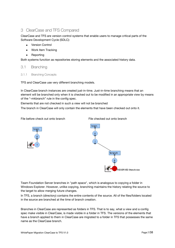## <span id="page-6-0"></span>3 ClearCase and TFS Compared

ClearCase and TFS are version control systems that enable users to manage critical parts of the Software Development Cycle (SDLC):

- Version Control  $\bullet$
- Work Item Tracking
- Reporting  $\bullet$

Both systems function as repositories storing elements and the associated history data.

#### <span id="page-6-1"></span>3.1 Branching

<span id="page-6-2"></span>3.1.1 Branching Concepts

TFS and ClearCase use very different branching models.

In ClearCase branch instances are created just-in-time. Just-in-time branching means that an element will be branched only when it is checked out to be modified in an appropriate view by means of the '-mkbranch' rule in the config spec.

Elements that are not checked in such a view will not be branched

The branch in ClearCase will only contain the elements that have been checked out onto it.

File before check out onto branch File checked out onto branch



Team Foundation Server branches in "path space", which is analogous to copying a folder in Windows Explorer. However, unlike copying, branching maintains the history relating the source to the target to allow merging future changes.

In TFS, a branch (directory) contains the entire contents of the source. All of the files/folders located in the source are branched at the time of branch creation.

Branches in ClearCase are represented as folders in TFS. That is to say, what a view and a config spec make visible in ClearCase, is made visible in a folder in TFS. The versions of the elements that have a branch applied to them in ClearCase are migrated to a folder in TFS that possesses the same name as the ClearCase branch.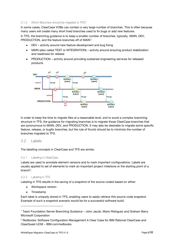#### <span id="page-7-0"></span>3.1.2 Which Branches should be migrated to TFS?

In some cases, ClearCase VOBs can contain a very large number of branches. This is often because many users will create many short lived branches used to fix bugs or add new features.

In TFS, the branching guidance is to keep a smaller number of branches, typically, MAIN, DEV, PRODUCTION, and the feature branches off of MAIN<sup>1</sup>:

- $\bullet$ DEV – activity around new feature development and bug fixing
- MAIN (also called TEST or INTEGRATION) activity around ensuring product stabilization  $\bullet$ and readiness for release
- PRODUCTION activity around providing sustained engineering services for released products



In order to keep the time to migrate files at a reasonable level, and to avoid a complex branching structure in TFS, the guidance for migrating branches is to migrate those ClearCase branches that are synonymous to MAIN, DEV, and PRODUCTION. It may also be desirable to migrate some specific feature, release, or bugfix branches, but the rule of thumb should be to minimize the number of branches migrated to TFS.

## <span id="page-7-1"></span>3.2 Labels

The labelling concepts in ClearCase and TFS are similar.

#### <span id="page-7-2"></span>3.2.1 Labeling in ClearCase

Labels are used to annotate element versions and to mark important configurations. Labels are usually applied to set of elements to mark an important project milestone or the starting point of a branch<sup>2</sup>.

#### <span id="page-7-3"></span>3.2.2 Labeling in TFS

Labeling in TFS results in the saving of a snapshot of the source coded based on either:

- Workspace version  $\bullet$
- Timestamp

 $\overline{a}$ 

Each label is uniquely stored in TFS, enabling users to easily retrieve this source code snapshot. Example of such a snapshot scenario would be for a successful software build.

<sup>1</sup> Team Foundation Server Branching Guidance – John Jacob, Mario Ridriguez and Graham Barry Microsoft Corporation

<sup>2</sup> Redbooks: Software Configuration Management A Clear Case for IBM Rational ClearCase and ClearQuest UCM – IBM.com/redbooks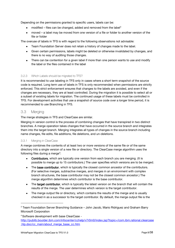Depending on the permissions granted to specific users, labels can be:

- modified files can be changed, added and removed from the label<sup>3</sup>
- moved a label may be moved from one version of a file or folder to another version of the  $\bullet$ file or folder

The overuse of labels in TFS is with regard to the following observations not advisable:

- $\bullet$ Team Foundation Server does not retain a history of changes made to the label.
- Given certain permissions, labels might be deleted or otherwise invalidated by changes, and there is no way of auditing those changes.
- There can be contention for a given label if more than one person wants to use and modify the label or the files contained in the label

#### <span id="page-8-0"></span>3.2.3 Which Labels should be migrated to TFS?

It is recommended to use labeling in TFS only in cases where a short term snapshot of the source code is required. Long term use of labels in TFS is only recommended when permissions are strictly enforced. This strict enforcement ensures that changes to the labels are avoided, and even if the changes are necessary, they are at least controlled. During the migration it is possible to select all or a subset of existing labels for migration. The continued usage of these labels must be controlled in TFS. For development activities that use a snapshot of source code over a longer time period, it is recommended to use Branching in TFS.

## <span id="page-8-1"></span>3.3 Merging

The merge strategies in TFS and ClearCase are similar.

Merging in version control is the process of combining changes that have transpired in two distinct branches. A merge operation takes changes that have occurred in the source branch and integrates them into the target branch. Merging integrates all types of changes in the source branch including name changes, file edits, file additions, file deletions, and un-deletions.

#### <span id="page-8-2"></span>3.3.1 Merging in ClearCase

A merge combines the contents of at least two or more versions of the same file or of the same directory into a single version of a new file or directory. The ClearCase merge algorithm uses the following files during a merge<sup>4</sup>:

- Contributors, which are typically one version from each branch you are merging. (It is possible to merge up to 15 contributors.) The user specifies which versions are to be merged.
- The base contributor, which is typically the closest common ancestor of the contributors. (For selective merges, subtractive merges, and merges in an environment with complex branch structures, the base contributor may not be the closest common ancestor.) The merge algorithm determines which contributor is the base contributor.
- The target contributor, which is typically the latest version on the branch that will contain the results of the merge. The user determines which version is the target contributor.
- The merge output file or directory, which contains the results of the merge and is usually checked in as a successor to the target contributor. By default, the merge output file is the

 $\overline{a}$ 

<sup>&</sup>lt;sup>3</sup> Team Foundation Server Branching Guidance – John Jacob, Mario Ridriguez and Graham Barry Microsoft Corporation

<sup>4</sup> Software development with base ClearCase [http://publib.boulder.ibm.com/infocenter/cchelp/v7r0m0/index.jsp?topic=/com.ibm.rational.clearcase](http://publib.boulder.ibm.com/infocenter/cchelp/v7r0m0/index.jsp?topic=/com.ibm.rational.clearcase.hlp.doc/cc_main/about_merge_base_cc.htm) [.hlp.doc/cc\\_main/about\\_merge\\_base\\_cc.htm](http://publib.boulder.ibm.com/infocenter/cchelp/v7r0m0/index.jsp?topic=/com.ibm.rational.clearcase.hlp.doc/cc_main/about_merge_base_cc.htm)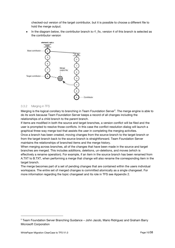checked-out version of the target contributor, but it is possible to choose a different file to hold the merge output.

In the diagram below, the contributor branch is r1\_fix, version 4 of this branch is selected as the contributor version



#### <span id="page-9-0"></span>3.3.2 Merging in TFS

Merging is the logical corollary to branching in Team Foundation Server<sup>5</sup>. The merge engine is able to do its work because Team Foundation Server keeps a record of all changes including the relationships of a child branch to the parent branch.

If items are modified in both the source and target branches, a version conflict will be filed and the user is prompted to resolve those conflicts. In this case the conflict resolution dialog will launch a graphical three-way merge tool that assists the user in completing the merging activities. Once a branch has been created, moving changes from the source branch to the target branch or from the target branch back to the source branch is straightforward. Team Foundation Server maintains the relationships of branched items and the merge history.

When merging across branches, all of the changes that have been made in the source and target branches are merged. This includes additions, deletions, un-deletions, and moves (which is effectively a rename operation). For example, if an item in the source branch has been renamed from A.TXT to B.TXT, when performing a merge that change will also rename the corresponding item in the target branch.

The merge becomes part of a set of pending changes that are contained within the users individual workspace. The entire set of merged changes is committed atomically as a single changeset. For more information regarding the topic changeset and its role in TFS see Appendix 2.

-

<sup>5</sup> Team Foundation Server Branching Guidance – John Jacob, Mario Ridriguez and Graham Barry Microsoft Corporation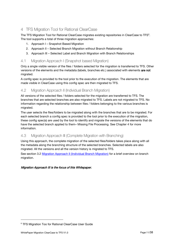# <span id="page-10-0"></span>4 TFS Migration Tool for Rational ClearCase

The TFS Migration Tool for Rational ClearCase migrates existing repositories in ClearCase to TFS<sup>6</sup>. The tool supports a total of three migration approaches:

- 1. Approach I Snapshot Based Migration
- 2. Approach II Selected Branch Migration without Branch Relationship
- 3. Approach III Selected Label and Branch Migration with Branch Relationships

## <span id="page-10-1"></span>4.1 Migration Approach I (Snapshot based Migration)

Only a single visible version of the files / folders selected for the migration is transferred to TFS. Other versions of the elements and the metadata (labels, branches etc.) associated with elements are not migrated.

A config spec is provided to the tool prior to the execution of the migration. The elements that are made visible in ClearCase using this config spec are then migrated to TFS.

## <span id="page-10-2"></span>4.2 Migration Approach II (Individual Branch Migration)

All versions of the selected files / folders selected for the migration are transferred to TFS. The branches that are selected branches are also migrated to TFS. Labels are not migrated to TFS. No information regarding the relationship between files / folders belonging to the various branches is migrated.

The user selects the files/folders to be migrated along with the branches that are to be migrated. For each selected branch a config spec is provided to the tool prior to the execution of the migration, these config spec(s) are used by the tool to identify and migrate the versions of the elements that do have the selected branch applied to them– Missing File Processing. See Chapter 4 for more information.

## <span id="page-10-3"></span>4.3 Migration Approach III (Complete Migration with Branching)

Using this approach, the complete migration of the selected files/folders takes place along with all the metadata along the branching structure of the selected branches. Selected labels are also migrated. All the versions and all the version history is migrated to TFS. See section 3.2 [Migration Approach II \(Individual Branch Migration\)](#page-10-2) for a brief overview on branch

## Migration Approach III is the focus of this Whitepaper.

migration.

 $\overline{a}$ 

<sup>&</sup>lt;sup>6</sup> TFS Migration Too for Rational ClearCase User Guide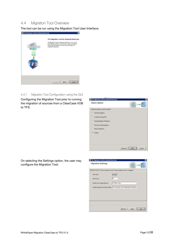## <span id="page-11-0"></span>4.4 Migration Tool Overview

The tool can be run using the Migration Tool User Interface:

| 195 Mgration Tool for National DearCase |                                                                                                                                                                                                                                                    |
|-----------------------------------------|----------------------------------------------------------------------------------------------------------------------------------------------------------------------------------------------------------------------------------------------------|
| <b>ClearCast</b>                        | TFS Migration Tool for Rational ClearCase<br>TPS/Ngration Tustifier Rational ClearCase vil. 0 is a tool<br>that raig aber data from ClearCase to Tears Foundation.<br>Service and also allows two way synchronization for<br>considered map adams. |
|                                         | Careel.<br><b>MARIN</b>                                                                                                                                                                                                                            |

#### <span id="page-11-1"></span>4.4.1 Migration Tool Configuration using the GUI

Configuring the Migration Tool prior to running the migration of sources from a ClearCase VOB to TFS:



On selecting the Settings option, the user may configure the Migration Tool:

| Migration Settings         | <b>HAME</b>                                                                           |
|----------------------------|---------------------------------------------------------------------------------------|
|                            | DewCate Server   Team Fixiodation Server   Moute: Database Server   Beltjing          |
| Vest Tape:                 | Dynamic                                                                               |
| <b>MVFS Dies:</b>          | Īм                                                                                    |
| Taxedy view stonge deeches | Wildeforms o                                                                          |
|                            | Specific temporary work space tolder: C. 1D oktawn to and Excelsive gam's Destruction |
|                            |                                                                                       |
|                            |                                                                                       |
|                            |                                                                                       |
|                            |                                                                                       |
|                            | ы<br>(Ewwass)<br><b>Date</b>                                                          |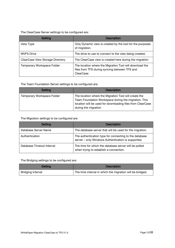## The ClearCase Server settings to be configured are:

| <b>Setting</b>                   | <b>Description</b>                                                                                                    |
|----------------------------------|-----------------------------------------------------------------------------------------------------------------------|
| View Type                        | Only Dynamic view is created by the tool for the purposes<br>of migration.                                            |
| <b>MVFS Drive</b>                | The drive to use to connect to the view being created,                                                                |
| ClearCase View Storage Directory | The ClearCase view is created here during the migration                                                               |
| Temporary Workspace Folder       | The location where the Migration Tool will download the<br>files from TFS during syncing between TFS and<br>ClearCase |

## The Team Foundation Server settings to be configured are:

| Setting                    | <b>Description</b>                                                                                                                                                                                  |
|----------------------------|-----------------------------------------------------------------------------------------------------------------------------------------------------------------------------------------------------|
| Temporary Workspace Folder | The location where the Migration Tool will create the<br>Team Foundation Workspace during the migration. This<br>location will be used for downloading files from ClearCase<br>during the migration |

### The Migration settings to be configured are:

| Setting                   | <b>Description</b>                                                                                           |
|---------------------------|--------------------------------------------------------------------------------------------------------------|
| Database Server Name      | The database server that will be used for the migration.                                                     |
| Authentication            | The authentication type for connecting to the database<br>server - only Windows Authentication is supported. |
| Database Timeout Interval | The time for which the database server will be polled<br>when trying to establish a connection.              |

## The Bridging settings to be configured are:

| Setting           | <b>Description</b>                                        |
|-------------------|-----------------------------------------------------------|
| Bridging Interval | The time interval in which the migration will be bridged. |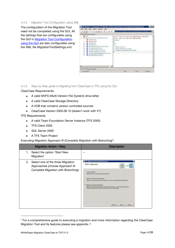#### <span id="page-13-0"></span>4.4.2 Migration Tool Configuration using XML

The configuration of the Migration Tool need not be completed using the GUI. All the settings that are configurable using the GUI in [Migration Tool Configuration](#page-11-1)  [using the GUI](#page-11-1) are also configurable using the XML file MigrationToolSettings.xml:



<span id="page-13-1"></span>4.4.3 Step-by-Step guide to Migrating from ClearCase to TFS using the GUI

#### ClearCase Requirements:

- A valid MVFS (Multi Version File System) drive letter  $\bullet$
- A valid ClearCase Storage Directory  $\bullet$
- A VOB that contains version controlled sources  $\bullet$
- ClearCase Version 2003.06.10 (doesn´t work with V7)  $\bullet$

#### TFS Requirements:

- A valid Team Foundation Server Instance (TFS 2005)  $\bullet$
- TFS Client 2005  $\bullet$
- SQL Server 2005  $\bullet$
- A TFS Team Project  $\bullet$

Executing Migration Approach III (Complete Migration with Branching)<sup>7</sup>:

| <b>Migration Action / Step</b>                                                                                    | <b>Description</b>                                                                                                                                                                                                                                                                                                                                                                                                                                                                                                                                                                             |
|-------------------------------------------------------------------------------------------------------------------|------------------------------------------------------------------------------------------------------------------------------------------------------------------------------------------------------------------------------------------------------------------------------------------------------------------------------------------------------------------------------------------------------------------------------------------------------------------------------------------------------------------------------------------------------------------------------------------------|
| Select the option 'Start New<br>1.<br>Migration'                                                                  | --                                                                                                                                                                                                                                                                                                                                                                                                                                                                                                                                                                                             |
| Select one of the three Migration<br>2.<br>Approaches (choose Approach III<br>Complete Migration with Branching): | If 175 High street field for that most third face.<br>Select Approach<br>C Shopphot Highston<br>Norsten bereihte sein spectled configured file.<br>The stan vehicle there's relational pro-<br>Planetare of subschedule and type) with full hattery. Some not exact and heart in entire entrym-<br>IF Hispation with branch relationships<br>WANTED AND CONTRACTOR COMPANY<br>Reyston of weetheliv architect and layel to relin full testure. Converts selected a achieve<br>abrig with deparators to worker than tractiviting to werhold to ontain<br><b>PAGINAL</b><br><b>Cavoe</b><br>BAAS! |

-

 $7$  For a comprehensive guide to executing a migration and more information regarding the ClearCase Migration Tool and its features please see appendix 1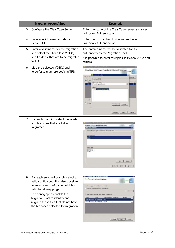| <b>Migration Action / Step</b>                                                                                                                                                                                                                                                                    | <b>Description</b>                                                                                                                                                                                                                                                                                                                                                                                                                                               |
|---------------------------------------------------------------------------------------------------------------------------------------------------------------------------------------------------------------------------------------------------------------------------------------------------|------------------------------------------------------------------------------------------------------------------------------------------------------------------------------------------------------------------------------------------------------------------------------------------------------------------------------------------------------------------------------------------------------------------------------------------------------------------|
| Configure the ClearCase Server<br>3.                                                                                                                                                                                                                                                              | Enter the name of the ClearCase server and select<br>'Windows Authentication'.                                                                                                                                                                                                                                                                                                                                                                                   |
| 4. Enter a valid Team Foundation<br>Server URL                                                                                                                                                                                                                                                    | Enter the URL of the TFS Server and select<br>'Windows Authentication'.                                                                                                                                                                                                                                                                                                                                                                                          |
| 5.<br>Enter a valid name for the migration<br>and select the ClearCase VOB(s)<br>and Folder(s) that are to be migrated<br>to TFS                                                                                                                                                                  | The entered name will be validated for its<br>authenticity by the Migration Tool<br>It is possible to enter multiple ClearCase VOBs and<br>folders.                                                                                                                                                                                                                                                                                                              |
| Map the selected VOB(s) and<br>6.<br>folder(s) to team project(s) in TFS:                                                                                                                                                                                                                         | in the register fucking sales of theme<br>ы<br>ClearCase and Team Foundation Server Mappings<br><b>If fromme for Poble</b><br>al.utility<br><b>Mpchade Host</b><br>Han Project Nation<br><b>S/BranchMgratorPigez</b><br>Pulldery<br>drki<br><b>Sugar</b><br>DWA<br>News<br><b>STORY</b><br><b>Cheatur</b>                                                                                                                                                        |
| 7. For each mapping select the labels<br>and branches that are to be<br>migrated:                                                                                                                                                                                                                 | Branch And Label Selection<br><b>Dramch Solects</b><br>detailfasey (Garcifipese Guelligae<br><b>SERVICE</b><br>Canal.<br><b>EDMINA</b><br>Clean                                                                                                                                                                                                                                                                                                                  |
| 8. For each selected branch, select a<br>valid config spec. It is also possible<br>to select one config spec which is<br>valid for all mappings.<br>The config specs enable the<br>Migration Tool to identify and<br>migrate those files that do not have<br>the branches selected for migration. | <b>IFS Migration Tool for Rational ClearCase</b><br>Configuration Specification<br>Specify config specifie for relacted source folders.<br>Une came config specific for all source folders<br><b>HELM</b><br>阵<br>Una different configures: Sa his different space folder.<br>Taget<br>Selected Burnch Folder Liens<br>File Path<br>Source<br>Eisichligation 1/8 anchiligrat.   pach<br>GranchMgration S/GranchMigrati patch1<br>(Beviour Heat)<br><b>Levent</b> |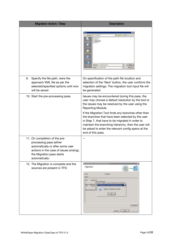| <b>Migration Action / Step</b>                                                                                                                                                         | <b>Description</b>                                                                                                                                                                                                                                                                                                                                                                                                                                                               |
|----------------------------------------------------------------------------------------------------------------------------------------------------------------------------------------|----------------------------------------------------------------------------------------------------------------------------------------------------------------------------------------------------------------------------------------------------------------------------------------------------------------------------------------------------------------------------------------------------------------------------------------------------------------------------------|
|                                                                                                                                                                                        | $\frac{1}{2}$ 0 7 $\frac{1}{2}$<br>Di Corkç falen<br><b>ISMNTO 328</b><br>agfic.tot<br>and responsibility<br>patch.bit<br><b>P</b><br><b>Olive</b><br>Datepoint<br>Lonkgozen Art<br>킈<br>Text Have<br><b>Deteksti</b>                                                                                                                                                                                                                                                            |
| 9.<br>Specify the file path, were the<br>approach XML file as per the<br>selected/specified options until now<br>will be saved.                                                        | On specification of the path file location and<br>selection of the 'Next' button, the user confirms the<br>migration settings. The migration tool input file will<br>be generated.                                                                                                                                                                                                                                                                                               |
| 10. Start the pre-processing pass.                                                                                                                                                     | Issues may be encountered during this pass, the<br>user may choose a default resolution by the tool or<br>the issues may be resolved by the user using the<br>Reporting Module.<br>If the Migration Tool finds any branches other than<br>the branches that have been selected by the user<br>in Step 7, that have to be migrated in order to<br>maintain the branching hierarchy, then the user will<br>be asked to enter the relevant config specs at the<br>end of this pass. |
| 11. On completion of the pre-<br>processing pass (either<br>automatically or after some user<br>actions in the case of issues arising),<br>the Migration pass starts<br>automatically: | --                                                                                                                                                                                                                                                                                                                                                                                                                                                                               |
| 12. The Migration is complete and the<br>sources are present in TFS:                                                                                                                   | A 195 Marvious Tool for Kathenet Dry<br>Migration<br>Status<br>Dargesteld<br>Fiest<br>jus.<br>Tienught 72<br>Source:Francourk<br>Decorption Higaution intered for Magazig 12 unshirlignatur.<br>S/Siechttigsschrie<br>175 Marviller Test by Rational ClearCase<br>11.011<br>De<br>How do not please the state<br>Sitteschhipelonhua<br>œ<br><b>Sheer Elepot</b><br>Drww Link                                                                                                     |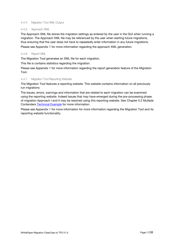#### <span id="page-16-0"></span>4.4.4 Migration Tool XML Output

#### <span id="page-16-1"></span>4.4.5 Approach XML

The Approach XML file stores the migration settings as entered by the user in the GUI when running a migration. The Approach XML file may be referenced by the user when starting future migrations, thus ensuring that the user does not have to repeatedly enter information in any future migrations. Please see Appendix 1 for more information regarding the approach XML generation.

#### <span id="page-16-2"></span>4.4.6 Report XML

The Migration Tool generates an XML file for each migration.

This file is contains statistics regarding the migration.

Please see Appendix 1 for more information regarding the report generation feature of the Migration Tool.

#### <span id="page-16-3"></span>4.4.7 Migration Tool Reporting Website

The Migration Tool features a reporting website. This website contains information on all previously run migrations

The issues, errors, warnings and information that are related to each migration can be examined using the reporting website. Indeed Issues that may have emerged during the pre-processing phase of migration Approach I and II may be resolved using this reporting website. See Chapter 5.2 Multiple Contenders **Technical Example** for more information.

Please see Appendix 1 for more information for more information regarding the Migration Tool and its reporting website functionality.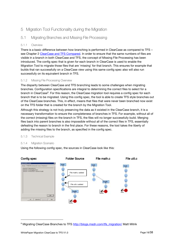## <span id="page-17-0"></span>5 Migration Tool Functionality during the Migration

## <span id="page-17-1"></span>5.1 Migrating Branches and Missing File Processing

#### <span id="page-17-2"></span>5.1.1 Overview

There is a basic difference between how branching is performed in ClearCase as compared to TFS – see Chapter 2 [ClearCase and TFS Compared.](#page-5-1) In order to ensure that the same numbers of files are visible in a branch in both ClearCase and TFS, the concept of Missing File Processing has been introduced. The config spec that is given for each branch in ClearCase is used to enable the Migration Tool to migrate those files that are 'missing' for that branch. This ensures for example that builds that ran successfully on a ClearCase view using this same config spec also will also run successfully on its equivalent branch in TFS.

#### <span id="page-17-3"></span>5.1.2 Missing File Processing Overview

The disparity between ClearCase and TFS branching leads to some challenges when migrating branches. Configuration specifications are integral to determining the correct files to select for a branch in ClearCase<sup>8</sup>. For this reason, the ClearCase migration tool requires a config spec for each branch that is to be migrated. Using this config spec, the tool is able to create TFS style branches out of the ClearCase branches. This, in effect, means that files that were never been branched now exist on the TFS folder that is created for the branch by the Migration Tool.

Although this strategy is not truly preserving the data as it existed in the ClearCase branch, it is a necessary transformation to ensure the completeness of branches in TFS. For example, without all of the correct (missing) files on the branch in TFS, the files will no longer successfully build. Merging files back into parent branches is also impossible without all of the correct files in TFS, essentially defeating the reason to branch in the first place. For these reasons, the tool takes the liberty of adding the missing files to the branch, as specified in the config spec.

#### <span id="page-17-4"></span>5.1.3 Technical Example

#### <span id="page-17-5"></span>5.1.4 Migration Scenario

Using the following config spec, the sources in ClearCase look like this:



 $\overline{a}$ 

<sup>&</sup>lt;sup>8</sup> Migrating ClearCase Branches to TFS [http://blogs.msdn.com/tfs\\_migration/](http://blogs.msdn.com/tfs_migration/) Matt Mitrik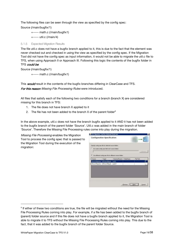The following files can be seen through the view as specified by the config spec:

Source (/main/bugfix/1)

```
+----- math.c (/main/bugfix1)
```

```
+----- util.c (/main/4)
```
#### <span id="page-18-0"></span>5.1.5 Expected Migration Results

The file util.c does not have a bugfix branch applied to it, this is due to the fact that the element was never checked out and checked in using the view as specified by the config spec. If the Migration Tool did not have the config spec as input information, it would not be able to migrate the util.c file to TFS, when using Approach II or Approach III. Following this logic the contents of the bugfix folder in TFS could be:

Source (/main/bugfix/1)

+----- math.c (/main/bugfix1)

This **would** result in the contents of the bugfix branches differing in ClearCase and TFS. For this reason Missing File Processing Rules were introduced.

All files that satisfy each of the following two conditions for a branch (branch X) are considered missing for this branch in TFS:

- 1. The file does not have branch X applied to it
- 2. The file has not been added to the branch  $X$  of the parent folder<sup>9</sup>

In the above example, util.c does not have the branch bugfix applied to it AND it has not been added to the bugfix branch of the parent folder 'Source'. Util.c was added in the main branch of folder 'Source'. Therefore the Missing File Processing rules come into play during the migration.

Missing File Processing enables the Migration Tool to process the config spec that is passed to the Migration Tool during the execution of the migration:



 $\overline{a}$ 

 $9$  If either of these two conditions are true, the file will be migrated without the need for the Missing File Processing Rules coming into play. For example, if a file has been added to the bugfix branch of (parent) folder source and if this file does not have a bugfix branch applied to it, the Migration Tool is able to migrate it to TFS without the Missing File Processing Rules coming into play. This due to the fact, that it was added to the bugfix branch of the parent folder Source.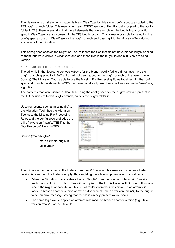The file versions of all elements made visible in ClearCase by this same config spec are copied to the TFS bugfix branch folder. This result's in main/LATEST version of file util.c being copied to the bugfix folder in TFS, thereby ensuring that the all elements that were visible on the bugfix branch/config spec in ClearCase, are also present in the TFS bugfix branch. This is made possible by selecting the config spec as used in ClearCase for the bugfix branch and passing it to the Migration Tool during executing of the migration.

This config spec enables the Migration Tool to locate the files that do not have branch bugfix applied to them, but were visible in ClearCase and add these files in the bugfix folder in TFS as a missing version.

#### <span id="page-19-0"></span>5.1.6 Migration Results Example Conclusion

The util.c file in the Source folder was *missing* for the branch bugfix (util.c did not have have the bugfix branch applied to it AND util.c had not been added to the bugfix branch of the parent folder Source). The Migration Tool is able to use the Missing File Processing Rules together with the config spec and branch the elements in TFS that have not already been branched just-in-time in ClearCase, e.g. util.c.

The contents that were visible in ClearCase using the config spec for the bugfix view are present in the TFS equivalent to this bugfix branch, namely the bugfix folder in TFS:

work and the development of the concept state and interesting

Util.c represents such a 'missing file' to the Migration Tool, thus the Migration Tool uses the Missing File Processing Rules and the config spec and adds the util.c file version (main/LATEST) to the 'bugfix/source' folder in TFS:

| $\cdot$<br>F.<br>* Lolider Pfait: C1Doiumente und Grittellungeriicxel/Deskto QuellCodylverwatungseeiner<br>Anstehende Benutzer<br>Nounce<br>並                                          |
|----------------------------------------------------------------------------------------------------------------------------------------------------------------------------------------|
|                                                                                                                                                                                        |
|                                                                                                                                                                                        |
|                                                                                                                                                                                        |
|                                                                                                                                                                                        |
| <b>NUMBER OF STREET IS AND THE RESIDENCE</b><br><b>CONTRACTOR</b> STATE 1 - 2 X<br><b>CONTRACTOR</b><br>SLD3.330E 12:17 Checked in all the files using the ClearCateMigrationTool tool |
| " "아이" ( ) 6.5 ( ) #224 오 5 6 4 4 4 4 9 4 1 4 5 4 4 4 4 4 4                                                                                                                            |

Source (/main/bugfix/1)

```
+----- math.c (/main/bugfix1)
+----- util.c (/main/4)
```
The migration tool branches all the folders from their  $0<sup>th</sup>$  version. This ensures that when a folder version is branched, the folder is empty, thus avoiding the following potential error conditions:

- $\bullet$ When the Migration Tool creates a branch 'bugfix' from the Source folder /main/3 version math.c and util.c in TFS, both files will be copied to the bugfix folder in TFS. Due to this copy (and if the migration tool **did not branch** all folders from their  $0<sup>th</sup>$  version), if an attempt is made to branch another version of math.c (for example math.c version /main/4) to the bugfix folder an error message saying that the file is already present would occur.
- The same logic would apply if an attempt was made to branch another version (e.g. util.c version /main/3) of the util.c file.

test sell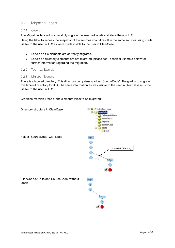## <span id="page-20-0"></span>5.2 Migrating Labels

#### <span id="page-20-1"></span>5.2.1 Overview

The Migration Tool will successfully migrate the selected labels and store them in TFS.

Using the label to access the snapshot of the sources should result in the same sources being made visible to the user in TFS as were made visible to the user in ClearCase.

- Labels on file elements are correctly migrated.
- Labels on directory elements are not migrated (please see Technical Example below for further information regarding the migration.

#### <span id="page-20-2"></span>5.2.2 Technical Example

#### <span id="page-20-3"></span>5.2.3 Migration Scenario

There is a labeled directory. This directory comprises a folder 'SourceCode'. The goal is to migrate this labeled directory to TFS. The same information as was visible to the user in ClearCase must be visible to the user in TFS.

Graphical Version Trees of the elements (files) to be migrated:

Directory structure in ClearCase:



Folder 'SourceCode' with label:

label: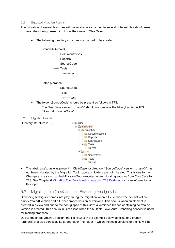#### 5.2.4 Expected Migration Results

<span id="page-21-0"></span>The migration of several branches with several labels attached to several different files should result in these labels being present in TFS as they were in ClearCase:

The following directory structure is expected to be created:

Branchdir (=main) +----- Dokumentations +----- Reports +----- SourceCode +----- Tests +----- test

Patch (=branch)

+----- SourceCode

+----- Tests +----- test

- The folder "SourceCode" should be present as follows in TFS:
	- $\circ$  The ClearCase version "\main\3" should not possess the label "bugfix" in TFS 'Branchdir/SourceCode'

<span id="page-21-1"></span>5.2.5 Migration Results

Directory structure in TFS:



The label 'bugfix' as was present in ClearCase for directory "SourceCode" version "\main\3" has not been migrated by the Migration Tool. Labels on folders are not migrated. This is due to the Changeset creation that the Migration Tool executes when migrating sources from ClearCase to TFS. See Chapter 6 [Migration Tool Functionality regarding TFS Features](#page-37-0) for more information on this topic.

## <span id="page-21-2"></span>5.3 Migrating from ClearCase and Branching Ambiguity Issue

Branching Ambiguity comes into play during the migration when a file version tree consists of an empty /main/0 version and a further branch version or versions. This occurs when an element is created in a view and due to the config spec of this view, a versioned branch containing no /main/1 version is created. This occurs in ClearCase when the Multiple-Level Auto-Branching concept is used for making branches.

Due to the empty /main/0 version, the file (file2.c) in the example below consists of a branch (branch1) that also serves as its target folder (the folder in which the main versions of the file will be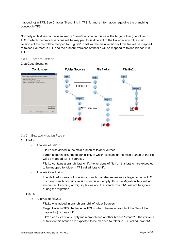mapped to) in TFS. See Chapter 'Branching in TFS' for more information regarding the branching concept in TFS.

Normally a file does not have an empty /main/0 version, in this case the target folder (the folder in TFS in which the branch versions will be mapped to) is different to the folder in which the main versions of the file will be mapped to. E.g. file1.c below, the main versions of this file will be mapped to folder 'Sources' in TFS and the branch1 versions of the file will be mapped to folder 'branch1' in TFS.

<span id="page-22-0"></span>5.3.1 Technical Example

#### ClearCase Scenario:



#### <span id="page-22-1"></span>5.3.2 Expected Migration Results

#### 1. File1.c

- o Analysis of File1.c:
	- File1.c was added in the main branch of folder Sources
	- Target folder in TFS (the folder in TFS in which versions of the main branch of the file will be mapped to) is 'Sources'.
	- File1.c contains a branch 'branch1', the versions of file1 on this branch are expected to be mapped to folder in TFS called 'branch1'.
- o Analysis Conclusion:
	- The file File1.c does not contain a branch that also serves as its target folder in TFS. It's main branch contains versions and is not empty, thus the Migration Tool will not encounter Branching Ambiguity Issues and the branch 'branch1' will not be ignored during the migration.

#### 2. File2.c

- o Analysis of File2.c:
	- File2.c was added in branch branch1 of folder Sources.
	- Target folder in TFS (the folder in TFS in which the main branch of the file will be mapped to) is 'branch1'.
	- File2.c consists of an empty main branch and another branch 'branch1', the versions of file2 on this branch are expected to be mapped to folder in TFS called 'branch1'.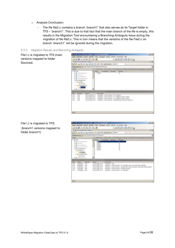- o Analysis Conclusion:
	- The file file2.c contains a branch 'branch1' that also serves as its Target folder in TFS – 'branch1'. This is due to that fact that the main branch of the file is empty, this results in the Migration Tool encountering a Branching Ambiguity Issue during the migration of file file2.c. This in turn means that the versions of the file File2.c on branch 'branch1' will be ignored during the migration.

#### <span id="page-23-0"></span>5.3.3 Migration Results and Branching Ambiguity



File1.c is migrated to TFS: (branch1 versions mapped to folder branch1):

|                                                                 | $=$ $\Box x$<br>D Quelcodeverwaltungs-Explorer - Microsoft Visual Studio                                                                               |
|-----------------------------------------------------------------|--------------------------------------------------------------------------------------------------------------------------------------------------------|
|                                                                 | Date Bearbeton Anacht Enstehn Tops Debuggen Euras Bender Community Hill-                                                                               |
| (石造) 調 一部 (画)<br>$\sim$                                         | $+1.9996390$                                                                                                                                           |
| Quelcodeverwaltungs-Explorer                                    | $\star \times$                                                                                                                                         |
|                                                                 | □□ 当 X 击 U i → B Abesteren M EHA<br>3                                                                                                                  |
| Dueliperferort: La t/ChingsetTertbranch1/200ross                |                                                                                                                                                        |
| Drdner                                                          | * Lokaler Pfad. C:\Dokumente.und Einstelkingen/voel\Desktrp?/QuelCodeVerwaltungselementeOndner'&                                                       |
| $\overline{m}$ $\overline{m}$ $\overline{m}$ $\overline{m}$     | anstehende Berutzer<br>him and w<br>fare -                                                                                                             |
| 中心 Altricultel Automat                                          | <b>BMLC</b><br>ы                                                                                                                                       |
| 4-28 InweltOn                                                   | 562c<br>м                                                                                                                                              |
| + Thursdayston                                                  | h<br>0.963c<br>h<br>日報に                                                                                                                                |
| 4-20 Changes of District                                        | 3i<br>日程名と                                                                                                                                             |
| = ChangesetTest<br>= branchi                                    | iii tietus<br>5ú                                                                                                                                       |
| GOLFORS                                                         |                                                                                                                                                        |
|                                                                 |                                                                                                                                                        |
| B D Changes (Test                                               |                                                                                                                                                        |
| -Ba Sources                                                     |                                                                                                                                                        |
| 中国 Licenter when                                                |                                                                                                                                                        |
| LOWER & LEFT WINNERS                                            | <b>Margaret Linux annualis Fact</b><br>$-1$                                                                                                            |
| <b>Birtutzer</b><br><b>Andem</b>                                | Disk in<br><b>Rommertur</b>                                                                                                                            |
| beatherer).<br>hoel                                             | 09.04.2008 10:07<br>sterNanne : moet                                                                                                                   |
| 1179<br>beatietén.<br><b>TOM</b><br>1170<br>Islabetien<br>Front | Useffame : most Comment : CC : Charlot 2 same comment in the 2 and fle2.<br>09.04.2008 10:07<br>09.04.2008 10:07                                       |
| 1176<br>bearbeiten<br>. Trool                                   | starfärne i novi Comment : change I with same comments used in field, field and field.<br>UserName proel Comment of angelectranch;<br>09.04.2000 30:07 |
| Dfw.<br>1180<br>1175<br>werpweigen noet                         | Useflatte : noel Connent : 00: Chang21:<br>09.04.2008 10:07                                                                                            |
|                                                                 |                                                                                                                                                        |
|                                                                 |                                                                                                                                                        |
|                                                                 |                                                                                                                                                        |
|                                                                 |                                                                                                                                                        |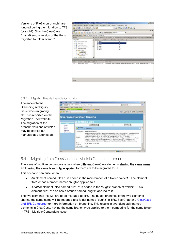Versions of File2.c on branch1 are ignored during the migration to TFS (branch1). Only the ClearCase /main/0 empty version of the file is migrated to folder branch1:

|                                                    | Te Quelcodevenwaltungs-Explorer - Mirrosoft Waud Studio                                                          | $=$ $\vert \Box \vert x \vert$ |
|----------------------------------------------------|------------------------------------------------------------------------------------------------------------------|--------------------------------|
|                                                    | Date Bearbeton Ansorit Erstellen Team Debuggen Eutras Einster Community Hift:                                    |                                |
| 日は人物出品・風味                                          | - 日本国立語文章                                                                                                        |                                |
| Quelicodeverwaltungs-Explorer                      |                                                                                                                  | $\rightarrow \infty$           |
|                                                    | □日 当 X 面 (1 m の コ + 0 Abottbeers MREVA<br>÷                                                                      |                                |
| Doelspeicherort: La MChangesetTest/branch1/Sources |                                                                                                                  | ٠                              |
| Drdrwr                                             |                                                                                                                  |                                |
| til 46 cube                                        | * Lotalet Place Cripoic ments and Emball repertment David Exploration in the repellement of the entity           |                                |
| <b>卡马 Attributeling ation</b>                      | Ambinande J Benutow<br>Neuerte<br><b>Fáirne</b> : in<br>$0$ feb $1$ c<br>Jn.                                     |                                |
| <del>化国</del> PranchDill                           | <b>Desc</b><br>Jir                                                                                               |                                |
| + The form of Higgs editors                        | <b>Title Sc</b><br>$\overline{\mathbf{u}}$                                                                       |                                |
| + DisnometOrroben                                  | <b>图像48</b><br><b>Ja</b>                                                                                         |                                |
| - La ChangesetTest                                 | 日毎5と<br>计证<br>日野の                                                                                                |                                |
| B is branch (                                      |                                                                                                                  |                                |
| <b>Call Sources</b>                                |                                                                                                                  |                                |
| - ChangeerTest                                     |                                                                                                                  |                                |
| <b>Ca Sources</b>                                  |                                                                                                                  |                                |
|                                                    |                                                                                                                  |                                |
| 中国Liberitari1                                      |                                                                                                                  |                                |
| contracts +4.0 second ter.Manfustanans             |                                                                                                                  |                                |
| Benutter<br>Andern-                                | CHLIN<br><b>RONDEYS</b>                                                                                          | <b>COLOR</b>                   |
| travian rod                                        | Unividative : now Comment : Ackled the element. "Be2.1". Ackled the element: "Be1.1". Ackles<br>09.04.2008 10:07 |                                |
| Differ.<br>1177                                    |                                                                                                                  |                                |
|                                                    |                                                                                                                  |                                |
|                                                    |                                                                                                                  |                                |
|                                                    |                                                                                                                  |                                |
|                                                    |                                                                                                                  |                                |
|                                                    |                                                                                                                  |                                |
| v.                                                 |                                                                                                                  | Σ                              |

#### <span id="page-24-0"></span>5.3.4 Migration Results Example Conclusion

The encountered Branching Ambiguity Issue when migrating file2.c is reported on the Migration Tool website. The migration of the branch1 versions of file2.c may be carried out manually at a later stage:

| J.2 TextVags - Windows Internet Explorer              |                                                                                                                                                                                                                                        | $= 101$                                                                                                                                                                                                                                                                                                                                                                                                                                                                               |
|-------------------------------------------------------|----------------------------------------------------------------------------------------------------------------------------------------------------------------------------------------------------------------------------------------|---------------------------------------------------------------------------------------------------------------------------------------------------------------------------------------------------------------------------------------------------------------------------------------------------------------------------------------------------------------------------------------------------------------------------------------------------------------------------------------|
| $-1$<br>Norton                                        | . In the Jose Litter/Jelenop.com/ben-Warms<br>Brabmer, Issued Eastern Cotta: 7<br>the actual contract of the contract of the contract of the contract of the contract of the contract of the contract of<br><b>APE RUNAWAY GALLERY</b> | With all book<br><b>CLL</b>                                                                                                                                                                                                                                                                                                                                                                                                                                                           |
| <b>BETWEENED</b>                                      |                                                                                                                                                                                                                                        | AL - (7) - lat + 1500 + 10 00 k +                                                                                                                                                                                                                                                                                                                                                                                                                                                     |
|                                                       | <b>ClearCase Migration Reports</b><br><b>Warnings List</b>                                                                                                                                                                             |                                                                                                                                                                                                                                                                                                                                                                                                                                                                                       |
| <b>TENNET</b><br>Home<br><b>INSER</b><br><b>Firem</b> | <b>Coloure ALC</b>                                                                                                                                                                                                                     | Display -                                                                                                                                                                                                                                                                                                                                                                                                                                                                             |
|                                                       | A. Warning<br><b>EX-Noration A.L.</b>                                                                                                                                                                                                  | Ξ                                                                                                                                                                                                                                                                                                                                                                                                                                                                                     |
| Warnings.<br>Information                              | MetadataProcessor<br>Component:<br>Details :                                                                                                                                                                                           | BranchingAmblgoltyIssue: FileSystemSlement: DataSnurosNamu: "(ChengesetTest"<br>FReOiffalderPath: "@@Umain\1\Sources\main\branch1\1Ville2.c" has branch!-<br>branch), and also has to be created on the same branch of its parent:-<br>DataSourceNeme: "(ChangeedTest" FileOrFolderPath: ", @@\main\1\Sources'.Hence<br>branch: - branch1 of FlieSystemEkement: - DataSourceName: "(ChangesetTeat"<br>FileOrFolderPath: ".@@\rnain\1\Sources\main\branch1\1\file2.c' will be ignored. |
|                                                       | Date<br>09.04.2008 10:07:42<br>Occured :-                                                                                                                                                                                              |                                                                                                                                                                                                                                                                                                                                                                                                                                                                                       |
|                                                       | <b>InCritical:</b><br>Eslap                                                                                                                                                                                                            | 139                                                                                                                                                                                                                                                                                                                                                                                                                                                                                   |
| Porter.                                               |                                                                                                                                                                                                                                        | <b>Stare</b> .<br>a kalment                                                                                                                                                                                                                                                                                                                                                                                                                                                           |

## <span id="page-24-1"></span>5.4 Migrating from ClearCase and Multiple Contenders Issue

The issue of multiple contenders arises when different ClearCase elements sharing the same name and having the same branch type applied to them are to be migrated to TFS.

This scenario can arise when:

- An element named 'file1.c' is added in the main branch of a folder 'folder1'. The element 'file1.c' has a branch named 'bugfix' applied to it.
- Another element, also named 'file1.c' is added in the 'bugfix' branch of 'folder1'. This  $\bullet$ element 'file1.c' also has a branch named 'bugfix' applied to it.

The two elements 'file1.c' are to be migrated to TFS. The bugfix branches of the two elements sharing the same name will be mapped to a folder named 'bugfix' in TFS. See Chapter 2 ClearCase [and TFS Compared](#page-5-1) for more information on branching. This results in two identically named elements in ClearCase, having the same branch type applied to them competing for the same folder in TFS – Multiple Contenders Issue.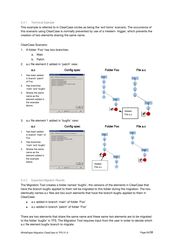#### <span id="page-25-0"></span>5.4.1 Technical Example

This example is referred to in ClearCase circles as being the 'evil twins' scenario. The occurrence of this scenario using ClearCase is normally prevented by use of a mkelem- trigger, which prevents the creation of two elements sharing the same name.

ClearCase Scenario:

- 1. A folder 'Foo' has two branches:
	- a. Main
	- b. Patch
- <span id="page-25-2"></span>2. a.c file element 2 added in 'patch' view:



#### <span id="page-25-1"></span>5.4.2 Expected Migration Results

The Migration Tool creates a folder named 'bugfix', the versions of the elements in ClearCase that have the branch bugfix applied to them will be migrated to this folder during the migration. The two identically names a.c files are two such elements that have the branch bugfix applied to them in ClearCase:

- a.c added in branch 'main' of folder 'Foo'  $\bullet$
- a.c added in branch 'patch' of folder 'Foo'  $\bullet$

There are two elements that share the same name and these same two elements are to be migrated to the folder 'bugfix' in TFS. The Migration Tool requires input from the user in order to decide which a.c file element bugfix branch to migrate.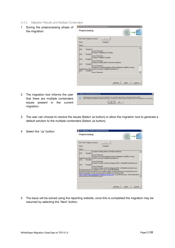<span id="page-26-0"></span>5.4.3 Migration Results and Multiple Contenders

| During the preprocessing phase of |
|-----------------------------------|
| the migration:                    |

2 The migration tool informs the user that there are multiple contenders issues present in the current

| Click 'Starf' to begin conversion: |                                                                | <b>Start</b>                                       |                                                                         |       |        |
|------------------------------------|----------------------------------------------------------------|----------------------------------------------------|-------------------------------------------------------------------------|-------|--------|
| <b>Status</b>                      |                                                                | Completed                                          |                                                                         |       |        |
| Report                             |                                                                |                                                    |                                                                         |       |        |
| LDB:<br>Thread d:5                 |                                                                |                                                    |                                                                         |       |        |
|                                    | Soulce Francisco.                                              |                                                    |                                                                         |       |        |
| LOG:<br>Thread d:S                 |                                                                | Decorption: Validating User Settings               |                                                                         |       |        |
|                                    | <b><i><u>Болек Енимной</u></i></b>                             | Description: Validation Complete                   |                                                                         |       |        |
| LOG<br>Threadd <sup>®</sup>        |                                                                |                                                    |                                                                         |       |        |
|                                    | <b>Source: Framework</b>                                       | Description: Adding details to the Master database |                                                                         |       |        |
| LOB<br>Threadd 5                   |                                                                |                                                    |                                                                         |       |        |
|                                    | Source: Francework                                             |                                                    | Description: Associated database ClearCaseMigrationTool\$40 for storing |       |        |
|                                    | metadata from Clave Cane for Convenion: MultipleContenderlooks |                                                    |                                                                         |       |        |
| LOBE<br>Threadd:5                  | Source Francisco                                               |                                                    |                                                                         |       |        |
|                                    |                                                                |                                                    |                                                                         |       |        |
|                                    |                                                                |                                                    |                                                                         |       |        |
|                                    |                                                                |                                                    |                                                                         |       |        |
|                                    |                                                                |                                                    | (Previous)                                                              | Next: | Eancel |
|                                    |                                                                |                                                    |                                                                         |       |        |
|                                    |                                                                |                                                    |                                                                         |       |        |
|                                    |                                                                |                                                    |                                                                         |       |        |
|                                    |                                                                |                                                    |                                                                         |       |        |

- 3 The user can choose to resolve the issues (Select Ja button) or allow the migration tool to generate a default solution to the multiple contenders (Select Ja button).
- 4 Select the 'Ja' button:

migration:

| Preprocessing                                                                                                                                                                                                                                                                                                                                                                                                                                                                                                                           |                                                                                                                            |                                                                                                                                                                                                                                                                                       |
|-----------------------------------------------------------------------------------------------------------------------------------------------------------------------------------------------------------------------------------------------------------------------------------------------------------------------------------------------------------------------------------------------------------------------------------------------------------------------------------------------------------------------------------------|----------------------------------------------------------------------------------------------------------------------------|---------------------------------------------------------------------------------------------------------------------------------------------------------------------------------------------------------------------------------------------------------------------------------------|
| Dick Staff to begin conversion:<br><b>Status:</b>                                                                                                                                                                                                                                                                                                                                                                                                                                                                                       | Ether !                                                                                                                    |                                                                                                                                                                                                                                                                                       |
| <b>Report</b>                                                                                                                                                                                                                                                                                                                                                                                                                                                                                                                           | Completed                                                                                                                  |                                                                                                                                                                                                                                                                                       |
| Thread d:S<br>LOG<br><b>Source: Francework</b><br>netedata from Clear Case for Conversion: MultipleContenderlisue<br>LOG-<br>Threadd <sup>3</sup><br>Source: Francescok.<br>LOB<br>Threadd <sup>3</sup><br><b>Source: Framework</b><br>Pre-cenceroing phase completed: Time Taken - 00:00:06 4330000<br>Unseabled issues are present for the current ragazion. Flexolve all the issues reported by the tool<br>before proceeding. Use the reporting website installed at the following URL.<br>once you have resolved all the locuers.) | Description: Adding details to the Master distabage<br>Decorption: Associated database ClearCareMonatonTool\$40 for storro | Description: Analysis started for Mapping 1ME12 : \$/MultipleContendershisuse<br>Description: Analysis ended for Mapping WEE2: \$/MultipleContendershistuse<br>1stp://CLIBE/ClearCaseMigrationTooFleports/Home.aspx', to resolve the issues: <press button<="" neat="" th=""></press> |
|                                                                                                                                                                                                                                                                                                                                                                                                                                                                                                                                         |                                                                                                                            |                                                                                                                                                                                                                                                                                       |

5 The issue will be solved using the reporting website, once this is completed the migration may be resumed by selecting the 'Next' button.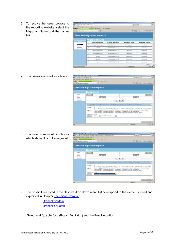6 To resolve the issue, browse to the reporting website, select the Migration Name and the Issues link:

| <b>Chain Doge: Windows Internet Explorer</b><br>Let a the Pole 1190 contains                         |           |                                                |                          |                       | <b>With Allen</b>       |
|------------------------------------------------------------------------------------------------------|-----------|------------------------------------------------|--------------------------|-----------------------|-------------------------|
| biateten Austr Henrier Rive r<br><b>Printed and State Construction</b><br>Norton<br><b>ARTISTING</b> |           | <b>Harter frais v</b>                          | <b>THE BUARDERSHIP</b>   |                       | St. El - accurato chec- |
|                                                                                                      |           | <b>ClearCase Migration Reports</b>             |                          |                       |                         |
| <b>Silver</b><br>Piccore                                                                             |           | <b>Migration List</b><br><b>Migration Name</b> | <b>Date of Migration</b> | <b>Migration Pass</b> | <b>Migration Status</b> |
| <b>SAFE</b><br>Errors                                                                                | ٠         | HaltpleContendednam                            | 10.04.2008 14:14:54      | Preparatement         | Campleton               |
| Werenge<br><b>Istemator</b>                                                                          |           | Teaming                                        | DAUGH 2009 12:56:47      | Colemanies            | Carreleted              |
| <b>CONTINUES</b>                                                                                     | <b>CT</b> | <b>HyanofinkMigratores</b>                     | 00:04:2009 11:55:23      | Cintaansier           | Completed               |
|                                                                                                      | n         | <b>BranchMoratorsk</b>                         | 17.24 OT WAY, 10.25      | Distantage            | Carrigativel            |
|                                                                                                      |           | TestPici                                       | 06:04.2008 12:07:30      | Conversion            | Completed               |
|                                                                                                      |           | <b>Infrastrus</b>                              | 24.34.2000 15:16:42      | Coloradore            | Corpleted               |
|                                                                                                      | 岩         | <b>BREE</b>                                    | 04:04.2009 15:06:52      | Conservatore          | Cirricktur              |
|                                                                                                      |           |                                                |                          |                       | 123439 -                |
|                                                                                                      |           |                                                | <b>ITTLE</b>             | $4$ All statut        | [11, Salva, 1. 19       |

7 The issues are listed as follows:

|                                   | <b>Constantinoperation / Wednes Historic Englober</b>                                                                                                                                                                          | $-1218$                                                                                                                                                                                                                 |
|-----------------------------------|--------------------------------------------------------------------------------------------------------------------------------------------------------------------------------------------------------------------------------|-------------------------------------------------------------------------------------------------------------------------------------------------------------------------------------------------------------------------|
| Carol 19 of Fig. Indectioning ap- |                                                                                                                                                                                                                                | <b>Nilea Millerine</b><br>gan                                                                                                                                                                                           |
| Norton                            | -Batcher posts function house 2<br><b>THE NUMBER</b><br><b>LAST FRANCISCO AT</b>                                                                                                                                               |                                                                                                                                                                                                                         |
| All H. ROAD LINKSHOULD AT         |                                                                                                                                                                                                                                | A TT-art Her Jose                                                                                                                                                                                                       |
|                                   | <b>ClearCase Migration Reports</b>                                                                                                                                                                                             |                                                                                                                                                                                                                         |
| <b>STORES</b>                     | <b>Issues List</b>                                                                                                                                                                                                             |                                                                                                                                                                                                                         |
| <b>Marginal</b>                   | SHILLAR.                                                                                                                                                                                                                       | Equant N                                                                                                                                                                                                                |
| <b>Bulcans</b><br><b>Eyriam</b>   | <b>Sart Steam #1</b>                                                                                                                                                                                                           | Crister #                                                                                                                                                                                                               |
| Wertings<br><b>Schematics</b>     | <b>Issue Details</b>                                                                                                                                                                                                           |                                                                                                                                                                                                                         |
|                                   | 1 11 Please than one fills with you're centers are contractions for conversions followed and their payable fields. 11                                                                                                          |                                                                                                                                                                                                                         |
|                                   | $Imus1d$ :<br>DOMEST.<br>The versions of GleSpiden(Damest - . DrD/yrain),(Voolynain),(Va.c on that branck.<br>The versions of file@esternDarrent:- .@@Vrneit/JV/co/ynatrtpabil/J/js z an that bosnich<br>Idlettplytel : Falser | As our the reignition algorithm that fallonting are contenders for migration to the branch. "Bugfix" of the<br>folder: " (Biglielann, Lizes: Steps thay all have the same raying, only one of them can be converted : " |
|                                   | Morale: @@inser/ifacement7acc.<br>固<br>Rooder.                                                                                                                                                                                 |                                                                                                                                                                                                                         |
|                                   |                                                                                                                                                                                                                                | <b>Record Supplets</b>                                                                                                                                                                                                  |
| <b>THERE</b>                      |                                                                                                                                                                                                                                | <b>CONTRACTOR</b><br><b>TV STATE</b>                                                                                                                                                                                    |

8 The user is required to choose which element is to be migrated:

|                                                      | <b>Circulate Contented Hours Wednes Internet Englisher</b>                                                                                                                                                                                                                                                                                                                                                                |                                  | $-1218$                |
|------------------------------------------------------|---------------------------------------------------------------------------------------------------------------------------------------------------------------------------------------------------------------------------------------------------------------------------------------------------------------------------------------------------------------------------------------------------------------------------|----------------------------------|------------------------|
|                                                      | C. 2011 19: 20: 1 Philadelphia Calendary Announcement Contract Announcement Contract Announcement                                                                                                                                                                                                                                                                                                                         | <b>BEFALLE</b> STAR              | <b>SECTION</b>         |
| Date: publisher grache Estorient Robert E.<br>Norton | <b>BETWARTEN</b><br><b>THE GRANDERS</b>                                                                                                                                                                                                                                                                                                                                                                                   |                                  |                        |
| #Hybridge@angrade.html                               |                                                                                                                                                                                                                                                                                                                                                                                                                           | A-Fi-a-t-lus- pre-               |                        |
|                                                      | <b>ClearCase Migration Reports</b>                                                                                                                                                                                                                                                                                                                                                                                        |                                  |                        |
| $\overline{\phantom{a}}$                             | <b>Issues List</b>                                                                                                                                                                                                                                                                                                                                                                                                        |                                  |                        |
| Rochar<br><b>Januar</b>                              | SpectAL.                                                                                                                                                                                                                                                                                                                                                                                                                  |                                  | <b>Date of AL</b>      |
| freast.                                              | But Namir #                                                                                                                                                                                                                                                                                                                                                                                                               | Display #                        |                        |
| Washington<br><b>Scheeping</b>                       | <b>Issue Details</b>                                                                                                                                                                                                                                                                                                                                                                                                      |                                  |                        |
|                                                      | . 11 First Sar on the officers remeater controller, for concessor to seen input of the point folio, 11                                                                                                                                                                                                                                                                                                                    |                                  |                        |
|                                                      | Incom 12.1<br>As one the relocation algorithm the following are contenders for migration to the branch :- 'bugby' of the<br>folder: - . @@\main\s\Feo. Since they all have the sares came, only one of their can be converted :-<br>Details :<br>The veryons of F&SystemDemont: - @@Vreak11Vto/ynakit/Vanic on that branch<br>The versions of historystem (terrent: - @@/yosks).(Vroo/ynanctootch).(1)a.c.on that brench. |                                  |                        |
|                                                      | Inflate/vitt : False<br>Mission: #Istimate infractional politician in<br>Floorbirt.                                                                                                                                                                                                                                                                                                                                       |                                  |                        |
|                                                      |                                                                                                                                                                                                                                                                                                                                                                                                                           |                                  | <b>Render Statched</b> |
| <b>Prentice</b>                                      |                                                                                                                                                                                                                                                                                                                                                                                                                           | <b>Contact Contact Advisored</b> | Th grams.              |

- 9 The possibilities listed in the Resolve drop down menu list correspond to the elements listed and explained in Chapter [Technical Example:](#page-25-0)
	- BranchFooMain
	- [BranchFooPatch](#page-25-2)

Select main\patch\1\a.c (BranchFooPatch) and the Resolve button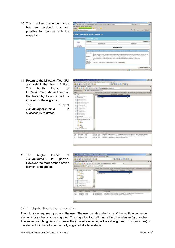10 The multiple contender issue has been resolved, it is now possible to continue with the migration:



11 Return to the Migration Tool GUI and select the 'Next' Button. The bugfix branch of Foo\main\3\a.c element and all the hierarchy below it will be ignored for the migration.

The element  $Foolmain$  $batch|1|a.c$  is successfully migrated:



12 The bugfix branch of Foolmain\3\a.c is ignored. However the main branch of this element is migrated:



#### <span id="page-28-0"></span>5.4.4 Migration Results Example Conclusion

The migration requires input from the user. The user decides which one of the multiple contender elements branches is to be migrated. The migration tool will ignore the other element(s) branches. The entire branching hierarchy below the ignored element(s) will also be ignored. This branch(es) of the element will have to be manually migrated at a later stage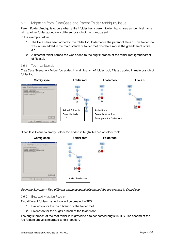## <span id="page-29-0"></span>5.5 Migrating from ClearCase and Parent Folder Ambiguity Issue

Parent Folder Ambiguity occurs when a file / folder has a parent folder that shares an identical name with another folder added on a different branch of the grandparent.

In the example below:

- 1. The file a.c has been added to the folder foo, folder foo is the parent of file a.c. This folder foo was in turn added in the main branch of folder root, therefore root is the grandparent of file a.c.
- 2. A different folder named foo was added to the bugfix branch of the folder root (grandparent of file a.c).

#### <span id="page-29-1"></span>5.5.1 Technical Example

ClearCase Scenario - Folder foo added in main branch of folder root; File a.c added in main branch of folder foo:



ClearCase Scenario empty Folder foo added in bugfix branch of folder root:



Scenario Summary: Two different elements identically named foo are present in ClearCase.

#### <span id="page-29-2"></span>5.5.2 Expected Migration Results

Two different folders named foo will be created in TFS:

- 1. Folder foo for the main branch of the folder root
- 2. Folder foo for the bugfix branch of the folder root

The bugfix branch of the root folder is migrated to a folder named bugfix in TFS. The second of the foo folders above is migrated to this location.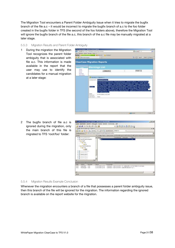The Migration Tool encounters a Parent Folder Ambiguity Issue when it tries to migrate the bugfix branch of the file a.c – it would be incorrect to migrate the bugfix branch of a.c to the foo folder created in the bugfix folder in TFS (the second of the foo folders above), therefore the Migration Tool will ignore the bugfix branch of the file a.c, this branch of the a.c file may be manually migrated at a later stage.

#### <span id="page-30-0"></span>5.5.3 Migration Results and Parent Folder Ambiguity

1 During the migration the Migration Tool recognizes the parent folder ambiguity that is associated with file a.c. This information is made available in the report that the user may use to identify the candidates for a manual migration at a later stage:



2 The bugfix branch of file a.c is ignored during the migration, only the main branch of this file is migrated to TFS 'root/foo' folder:



#### <span id="page-30-1"></span>5.5.4 Migration Results Example Conclusion

Whenever the migration encounters a branch of a file that possesses a parent folder ambiguity issue, then this branch of the file will be ignored for the migration. The information regarding the ignored branch is available on the report website for the migration.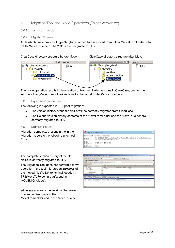## <span id="page-31-0"></span>5.6 Migration Tool and Move Operations (Folder Versioning)

#### <span id="page-31-1"></span>5.6.1 Technical Example

#### <span id="page-31-2"></span>5.6.2 Migration Scenario

A file which has a branch of type 'bugfix' attached to it is moved from folder 'MoveFromFolder' into folder 'MoveToFolder'. The VOB is then migrated to TFS.

ClearCase directory structure before Move: ClearCase directory structure after Move:



The move operation results in the creation of two new folder versions in ClearCase, one for the source folder (MoveFromFolder) and one for the target folder (MoveToFolder).

#### <span id="page-31-3"></span>5.6.3 Expected Migration Results

The following is expected in TFS post migration:

- The version history of the file file1.c will be correctly migrated from ClearCase  $\bullet$
- The file and version history contents of the MoveFromFolder and the MoveToFolder are correctly migrated to TFS

#### <span id="page-31-4"></span>5.6.4 Migration Results

Migration complete, present in the in the Migration report is the following uncritical Error:



The complete version history of the file file1.c is correctly migrated to TFS.

The Migration Tool does not perform a move operation - the tool migrates *all versions* of the moved file (file1.c) to its final location in TFS(MoveToFolder in bugfix and in MOVEMIG folders):

all versions: means the versions that were present in ClearCase in the MoveFromFolder and in the MoveToFolder

| <b>This purchase consideration fraument - Microsoft Visual Stade</b>                                                                                                                                                                                                        | $-1018$ |
|-----------------------------------------------------------------------------------------------------------------------------------------------------------------------------------------------------------------------------------------------------------------------------|---------|
| Cost Denteler grave futur Done Cornors; 1991                                                                                                                                                                                                                                |         |
| ■国際協会議学員→<br>同盟 主 所 出 前 三 二 章                                                                                                                                                                                                                                               |         |
| justicolownshing-Eighne                                                                                                                                                                                                                                                     | 0.00    |
| THE ATTNA SET ALL CALLS WITH A REPORTED HER PARTY.<br>1.9                                                                                                                                                                                                                   |         |
| Outgailess: La LNC-RNCACHERLPL-FUTOLES                                                                                                                                                                                                                                      |         |
| * Law the CDA mm informazionnel period calcole<br><b>CryTer</b><br><b>THAT I</b><br><b>Electronical Contractor</b><br>$= 24.489896$<br>- Danie<br><b>CENT</b><br>British Magher?<br>0-49 MOTABILET<br>- La Mondroot Cras<br>il Ca Minn Tollston<br>ALCOHOL: NO ANGELES PARA |         |
| (uf a) 20 C/550 361 Box 500 Publish<br><b>WIDOOUS</b>                                                                                                                                                                                                                       |         |
| <b>Sammage CO Dark der</b><br><b>ECHANICA INC.</b><br>$1 - 0$                                                                                                                                                                                                               |         |
| Listiane, chroup'er connect, during<br>chosopher - Isuzis zinni zi ziv<br>14<br><b>Lighters: Overcore Concelli Lad to at</b><br><b>CONVALUATION</b><br>THE RECORD FROM                                                                                                      |         |
| instants (C) that's instead, Alberta stout "buy".<br><b>Christopher</b><br>DE27, 2006 21-23<br>$1 - 20$<br>Chicagon 19130-2026 21:25<br>Une fame: Clestopher Economic AMAD Broddy (month)<br>1.081<br>un<br>a material de la construcción                                   |         |
|                                                                                                                                                                                                                                                                             |         |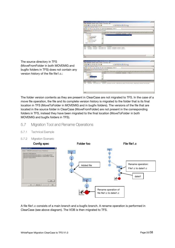| To cardioathorizationgs Equipment - Nicolaids Visual Studio |                                                                                                                                                                                                                                                                     | $-1018$        |
|-------------------------------------------------------------|---------------------------------------------------------------------------------------------------------------------------------------------------------------------------------------------------------------------------------------------------------------------|----------------|
|                                                             | Cost Excheder grave fixtur from Cornwrig (site                                                                                                                                                                                                                      |                |
| (正) (2) (3) (3) (3) (3) (3) (3)                             | ● 国際協会議長ロー」                                                                                                                                                                                                                                                         |                |
| padcodeverwaternan Explorer !!                              |                                                                                                                                                                                                                                                                     | 4000           |
|                                                             | ALTER TO ATTACHED IN APARTMENT PRIME<br>٠                                                                                                                                                                                                                           |                |
| Outpartent: DJ MORKULuMA-Phriste                            |                                                                                                                                                                                                                                                                     | $\overline{ }$ |
| <b>Chilling</b>                                             | * Louis that COAutrem unf in mit control Distinguish and control the project of Control and Control of Control                                                                                                                                                      |                |
| in 12 Moddes                                                | <b>NUMBER OF STREET</b><br>* Ilain                                                                                                                                                                                                                                  |                |
| Gita bught<br><b>CONTRACTOR</b>                             | <b>Clin</b> ich i                                                                                                                                                                                                                                                   |                |
| - 613 Months of LEW<br>$+1.4043394W$                        | n a s                                                                                                                                                                                                                                                               |                |
| o la Hodnig                                                 |                                                                                                                                                                                                                                                                     |                |
| 4-Top PhonePhonePublick                                     |                                                                                                                                                                                                                                                                     |                |
| di-hambourtchukter                                          |                                                                                                                                                                                                                                                                     |                |
| in the planning and                                         | 61                                                                                                                                                                                                                                                                  |                |
|                                                             |                                                                                                                                                                                                                                                                     |                |
| Electricity<br><b>College</b><br>Annexes.                   | Dottest<br><b>Timestra</b>                                                                                                                                                                                                                                          |                |
| 1401<br>burbenn, cressone                                   | 1605 208 1539 . Itemany : Unitorie Colment  hange                                                                                                                                                                                                                   |                |
| $1 - 201$                                                   | VICTIMIZATI, LEVELLANDI, 18000 SOBELECIN - CARPARINI CRISIQUEM COMMENT, MOTOR III.                                                                                                                                                                                  |                |
|                                                             |                                                                                                                                                                                                                                                                     |                |
|                                                             |                                                                                                                                                                                                                                                                     |                |
|                                                             |                                                                                                                                                                                                                                                                     |                |
|                                                             |                                                                                                                                                                                                                                                                     |                |
| $+1$                                                        |                                                                                                                                                                                                                                                                     | Ø.             |
| <b>Single Cold</b>                                          |                                                                                                                                                                                                                                                                     |                |
|                                                             |                                                                                                                                                                                                                                                                     |                |
| To cyclocological original in the search Visual Study.      |                                                                                                                                                                                                                                                                     | $-1218$        |
|                                                             | Con Instead pack fine from Concert; isn                                                                                                                                                                                                                             |                |
|                                                             |                                                                                                                                                                                                                                                                     |                |
| 计自动 未购货 群 医法                                                | ● 国際協会議学員+』                                                                                                                                                                                                                                                         |                |
| authorizer with man-biplerer in                             |                                                                                                                                                                                                                                                                     | 0.00           |
|                                                             | A DITE SEXUALISM IN A BURNAHIM PRIMA<br>٠                                                                                                                                                                                                                           |                |
| Quépartesse: La LINCORDA CORRUPCION EN LIN                  |                                                                                                                                                                                                                                                                     | ۰              |
| Crymer                                                      | * Local of the CD Automotive (NY) produced participal color manufactures to the MS/D/E/2 to elected                                                                                                                                                                 |                |
| $= 24.00966$                                                | Annewards   Forsche   Texts<br>$+1$ makes                                                                                                                                                                                                                           |                |
| <b>Britishugh</b>                                           |                                                                                                                                                                                                                                                                     |                |
| 6-GL MOTERED<br><b>In Strattgart Star</b>                   |                                                                                                                                                                                                                                                                     |                |
| <b>B. Carl Advised To Producer</b>                          |                                                                                                                                                                                                                                                                     |                |
| ALCOHOL: A STATE OF A STATE AND                             |                                                                                                                                                                                                                                                                     |                |
|                                                             |                                                                                                                                                                                                                                                                     |                |
| Differ  "Denotor" Datum                                     | <b>ELIAMING INC.</b>                                                                                                                                                                                                                                                |                |
| 1464 chranater<br>1941 10-200 10-278                        | - Starting community comment: Adds/Institute denied "Newtromagne", AS\$4 disclair werent "Newtrocket"                                                                                                                                                               |                |
| na sen                                                      | TAN A 2017 NA WASHINGTON A TANGGA A TAGAMA A TAGAMA NA TAGAMA A TAGAMA A TAGAMA A TAGAMA A TAGAMA A TAGAMA A T<br>TAGAMA A TAGAMA A TAGAMA A TAGAMA A TAGAMA A TAGAMA A TAGAMA A TAGAMA A TAGAMA A TAGAMA A TAGAMA A TAGAMA A TA<br>The Microsoft College Committee |                |
|                                                             |                                                                                                                                                                                                                                                                     |                |
|                                                             |                                                                                                                                                                                                                                                                     |                |
|                                                             |                                                                                                                                                                                                                                                                     |                |
|                                                             |                                                                                                                                                                                                                                                                     |                |
|                                                             |                                                                                                                                                                                                                                                                     |                |
|                                                             |                                                                                                                                                                                                                                                                     |                |

The source directory in TFS (MoveFromFolder in both MOVEMIG and bugfix folders in TFS) does not contain any version history of the file file1.c.:

The folder version contents as they are present in ClearCase are not migrated to TFS. In the case of a move file operation, the file and its complete version history is migrated to the folder that is its final location in TFS (MoveToFolder in MOVEMIG and in bugfix folders). The versions of the file that are located in the source folder in ClearCase (MoveFromFolder) are not present in the corresponding folders in TFS, instead they have been migrated to the final location (MoveToFolder in both MOVEMIG and bugfix folders in TFS).

## <span id="page-32-0"></span>5.7 Migration Tool and Rename Operations

- <span id="page-32-1"></span>5.7.1 Technical Example
- <span id="page-32-2"></span>5.7.2 Migration Scenario



A file file1.c consists of a main branch and a bugfix branch. A rename operation is performed in ClearCase (see above diagram). The VOB is then migrated to TFS.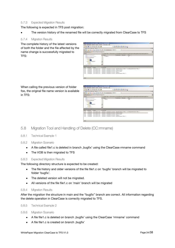#### <span id="page-33-0"></span>5.7.3 Expected Migration Results

The following is expected in TFS post migration:

The version history of the renamed file will be correctly migrated from ClearCase to TFS

#### <span id="page-33-1"></span>5.7.4 Migration Results

The complete history of the latest versions of both the folder and the file affected by the name change is successfully migrated to TFS:

| for cards a term with man to player - Microsoft Visual Market                                                                                                                                                                                                                     |                                                                                                                                                                                                                                                                                                  | $\frac{1}{2}$ H $\frac{1}{2}$ |
|-----------------------------------------------------------------------------------------------------------------------------------------------------------------------------------------------------------------------------------------------------------------------------------|--------------------------------------------------------------------------------------------------------------------------------------------------------------------------------------------------------------------------------------------------------------------------------------------------|-------------------------------|
| One Details: Avert fine from Cleverel, the                                                                                                                                                                                                                                        |                                                                                                                                                                                                                                                                                                  |                               |
| 计算法 医斯坦氏法                                                                                                                                                                                                                                                                         | +コ号は日通常ロ+2                                                                                                                                                                                                                                                                                       |                               |
| spell intermediates Explorer                                                                                                                                                                                                                                                      |                                                                                                                                                                                                                                                                                                  | $\pm 1$                       |
| 国内加盟区 あせまめい 国                                                                                                                                                                                                                                                                     | Abattdreets, HAEVA<br>$\sim$                                                                                                                                                                                                                                                                     |                               |
| Gallerine III Masseng socialistic                                                                                                                                                                                                                                                 |                                                                                                                                                                                                                                                                                                  | ×                             |
| Cintron                                                                                                                                                                                                                                                                           | * Liker Pet COAuters in this enterly self-arm coefficient and present the high-                                                                                                                                                                                                                  |                               |
| <b>EGS DVV and lighters</b>                                                                                                                                                                                                                                                       | erstehunge I kesung<br><b>THIS</b><br>#1 mana->                                                                                                                                                                                                                                                  |                               |
| A TENNY PHRAINS<br>in Lighter an artist product.<br>in the truckle.<br>$\mathbf{r} \mathbf{r} = \mathbf{r} \mathbf{r}$<br>500<br>in the party and all in<br>8 Safe<br>e-ca noo.<br><b>Benedict Avenue</b>                                                                         | $-0.0001$<br>$-14$<br>Evanti<br>늰                                                                                                                                                                                                                                                                |                               |
| <b>TELEVISION</b>                                                                                                                                                                                                                                                                 |                                                                                                                                                                                                                                                                                                  |                               |
| Drifter<br><b>Burnayar</b><br><b>STURIOS</b><br>$1-604$<br><b>LTWINGTWF</b><br>18.09.2000.0189<br><b>VALL</b><br>massive<br><b>JA DI JOR 10 RF</b><br>3,470<br>18.01200630.99<br><b>Children</b><br>1399<br>Ownight<br>18.01.2000 30.0%<br>1,999<br>18You 2009 31:59<br>Contrator | Unitaria - Chicaggiae Collisions, Address element (general incomposed this model "Braz",<br>Markiew - Chrosgree Comeent - shange in branch<br>Literature / Christopher Claramed / brand critically<br>Univision - Checkster Consent : Univer 11<br>Markener: Cletchpher Convent, Address Manager |                               |
|                                                                                                                                                                                                                                                                                   |                                                                                                                                                                                                                                                                                                  |                               |

When calling the previous version of folder foo, the original file name version is available in TFS:

| for careful are environmental and control of the control Museum and                                                                                                                    | 1118 |
|----------------------------------------------------------------------------------------------------------------------------------------------------------------------------------------|------|
| Come Statistics Avents Frank Steven Company, 1981                                                                                                                                      |      |
| $+14200244$<br><b>BELLET ALL PRODUCTS AND INCOME.</b>                                                                                                                                  |      |
| gardissingment and capturer                                                                                                                                                            | - 3  |
| 開発論 禁約 あけまわる<br>LUE A RA ADAMINARY, FOEVIL<br>$-20.5$                                                                                                                                  |      |
| columnation of the term of the advertised                                                                                                                                              |      |
| Otter<br>Lick die Plast (CDHassente und Brund Angertrum Quarta (Quality in the Angeler en to Orien Stagle Thur                                                                         |      |
| * Illette -1<br>ありませんの時にはあり<br><b>Understand Libbanes</b><br>Links (1)<br>. The controller results                                                                                     |      |
| CLEmenth state<br>11.24 N.ON<br><b>DO 200</b><br><b>SAFAAR</b><br>Printed Precipies in Alberta<br>Ш<br>※当作<br>B.Ga Pool<br>$\blacksquare$                                              |      |
| <b>Barkaton</b><br><b>PERMIT WHITE REPORT REPORT</b><br><b>LISH</b><br><b>TMDAR</b><br><b>ECONOMIST</b>                                                                                | . .  |
| Oprigers: Chickyate Convent - Addust Brittewell Toest J T Lincology (Brittenhold "Britts")<br><b>Luck</b><br>18 DA 3008 31-91<br><b>Thenhave</b>                                       |      |
| 141<br>180410011039<br><b>Chemical Fox</b><br>Lize-Lamer: Climbig the Comment 1 station in branch<br>usedana : Orengine Consure : burshindualli.<br>i ani<br>B.042009.3595<br>Desturne |      |
| L394<br>8.002008.039<br>UseAame : Chickgrist Command : change 1;<br>(Trindigker)                                                                                                       |      |
| 8.043000.0589<br>Justane: Chicharier Comment: Addocds denote "Ref.e"<br><b>LSK</b><br>Deteksho<br>The control of the Charles County of the                                             |      |
| m                                                                                                                                                                                      |      |

## <span id="page-33-2"></span>5.8 Migration Tool and Handling of Delete (CC:rmname)

- <span id="page-33-3"></span>5.8.1 Technical Example 1
- <span id="page-33-4"></span>5.8.2 Migration Scenario
	- A file called file1.c is deleted in branch 'bugfix' using the ClearCase rmname command
	- The VOB is then migrated to TFS

#### <span id="page-33-5"></span>5.8.3 Expected Migration Results

The following directory structure is expected to be created:

- The file history and older versions of the file file1.c on 'bugfix' branch will be migrated to folder 'bugfix'.
- The deleted version will not be migrated.
- All versions of the file file1.c on 'main' branch will be migrated  $\bullet$

#### <span id="page-33-6"></span>5.8.4 Migration Results

After the migration the structure in main and the 'bugfix' branch are correct. All information regarding the delete operation in ClearCase is correctly migrated to TFS.

#### <span id="page-33-7"></span>5.8.5 Technical Example 2

<span id="page-33-8"></span>5.8.6 Migration Scenario

- A file file1.c is deleted on branch 'bugfix' using the ClearCase 'rmname' command
- A file file1.c is created on branch, bugfix'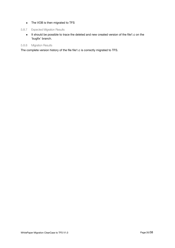• The VOB is then migrated to TFS

#### <span id="page-34-0"></span>5.8.7 Expected Migration Results

• It should be possible to trace the deleted and new created version of the file1.c on the 'bugfix' branch.

#### <span id="page-34-1"></span>5.8.8 Migration Results

The complete version history of the file file1.c is correctly migrated to TFS.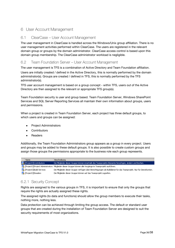## <span id="page-35-0"></span>6 User Account Management

## <span id="page-35-1"></span>6.1 ClearCase – User Account Management

The user management in ClearCase is handled across the Windows/Unix group affiliation. There is no user management activities performed within ClearCase. The users are registered in the relevant domain group or groups by the domain administrator. ClearCase access control is based upon this domain group membership. The ClearCase administrator workload is negligible.

## <span id="page-35-2"></span>6.2 Team Foundation Server – User Account Management

The user management is TFS is a combination of Active Directory and Team Foundation affiliation.

Users are initially created / defined in the Active Directory, this is normally performed by the domain administrator(s). Groups are created / defined in TFS, this is normally performed by the TFS administrator(s).

TFS user account management is based on a group concept - within TFS, users out of the Active Directory are then assigned to the relevant or appropriate TFS group(s).

Team Foundation security is user and group based. Team Foundation Server, Windows SharePoint Services and SQL Server Reporting Services all maintain their own information about groups, users and permissions.

When a project is created in Team Foundation Server, each project has three default groups, to which users and groups can be assigned:

- Project Administrators
- **Contributors**
- Readers

Additionally, the Team Foundation Administrators group appears as a group in every project. Users and groups may be added to these default groups. It is also possible to create custom groups and assign those groups the permissions appropriate to the business role each group represents.

| Name                                 | Beschreibung                                                                                                         |
|--------------------------------------|----------------------------------------------------------------------------------------------------------------------|
| <b>Air</b> [ProjectX]\Contributors   | Die Mitglieder dieser Gruppe können innerhalb des Teamprojekts Elemente hinzufügen, ändern und löschen.              |
|                                      | arta [ProjectX]\Project Administrators Mitglieder dieser Gruppe können alle Vorgänge im Teamprojekt ausführen.       |
| <b>At Exercise Executes</b>          | Die Mitglieder dieser Gruppe verfügen über Berechtigungen als Builddienst für das Teamprojekt. Nur für Dienstkonten. |
| <b>At Execute</b> [ProjectX]\Readers | Die Mitglieder dieser Gruppe können auf das Teamprojekt zugreifen.                                                   |

## <span id="page-35-3"></span>6.2.1 Security Concept

Rights are assigned to the various groups in TFS, it is important to ensure that only the groups that require the rights are actually assigned these rights.

The assigned rights (to data and functions) should allow the group members to execute their tasks, nothing more, nothing less.

Data protection can be achieved through limiting the group access. The default or standard user groups that are created during the installation of Team Foundation Server are designed to suit the security requirements of most organizations.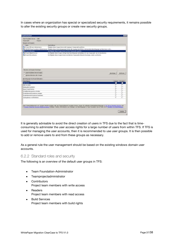In cases where an organization has special or specialized security requirements, it remains possible to alter the existing security groups or create new security groups.

|                                                                                                                                  |                                                                                                                                                                                                           | 60               |
|----------------------------------------------------------------------------------------------------------------------------------|-----------------------------------------------------------------------------------------------------------------------------------------------------------------------------------------------------------|------------------|
| Taxes Proundlation Service: CLEET<br><b><i>BUSINESS</i></b><br><b>Talenting</b><br>Bendras und Grappen:                          |                                                                                                                                                                                                           |                  |
| <b>Nome</b>                                                                                                                      | <b>Bentheliving</b>                                                                                                                                                                                       |                  |
| <b>The Division Editorial Advisorments</b>                                                                                       | Michelle deser Groppe idente alle Vorgerge zu Teatgerauft warfdivon.                                                                                                                                      |                  |
|                                                                                                                                  | The ETERNET Effects for a statement of the Midle of the discovery and a statement and the state of a statement of the Section of the Sector and a                                                         |                  |
| <b>Pressurations</b><br>ĸ                                                                                                        | On Watch down Grant Kimmi auf des Transmittlingerfen.                                                                                                                                                     |                  |
| 10 Dividenti Bibald Services<br><b>B. Project/3/Jumidiation</b>                                                                  | De Mößechr (Beim Grape verfügen den terrefitigungen als Buldikend für zie: Trompingeld, Na für Senatkorken.<br>De Wiglede dem Graps könne eventab des Teanproisits Elevenis Moultigen, braine und Rochen. |                  |
| film down and language feroulfages.                                                                                              |                                                                                                                                                                                                           |                  |
| IF Team Poundation for use Grupper                                                                                               | Headland,                                                                                                                                                                                                 | <b>Britterne</b> |
| <b>C. Introduce Anticipar radio - Gruppe</b>                                                                                     |                                                                                                                                                                                                           |                  |
| <b>Deschopment for Drowin (Bleaders)</b>                                                                                         |                                                                                                                                                                                                           |                  |
| <b>Boothisms</b>                                                                                                                 |                                                                                                                                                                                                           | D.Austin, 174446 |
| <b>Bald charters</b>                                                                                                             |                                                                                                                                                                                                           |                  |
|                                                                                                                                  | г                                                                                                                                                                                                         |                  |
| <b>Build certainlines</b><br><b>Tubbs with # Temp before</b>                                                                     | ť                                                                                                                                                                                                         |                  |
| <b>Elevent Fridakt Kladier:</b>                                                                                                  | ۳                                                                                                                                                                                                         |                  |
|                                                                                                                                  | n<br>۳                                                                                                                                                                                                    |                  |
| In Biddhetvideopeicher schrieben<br><b>Distal Externamento anni illumento e colocent</b><br>Projektebe environ saturen beacheten | è                                                                                                                                                                                                         |                  |

It is generally advisable to avoid the direct creation of users in TFS due to the fact that is timeconsuming to administer the user access rights for a large number of users from within TFS. If TFS is used for managing the user accounts, then it is recommended to use user groups. It is then possible to add or remove users to and from these groups as necessary.

As a general rule the user management should be based on the existing windows domain user accounts.

#### <span id="page-36-0"></span>6.2.2 Standard roles and security

The following is an overview of the default user groups in TFS:

- Team Foundation-Administrator
- Teamprojectadministrator
- Contributors Project team members with write access
- Readers Project team members with read access
- **•** Build Services Project team members with build rights